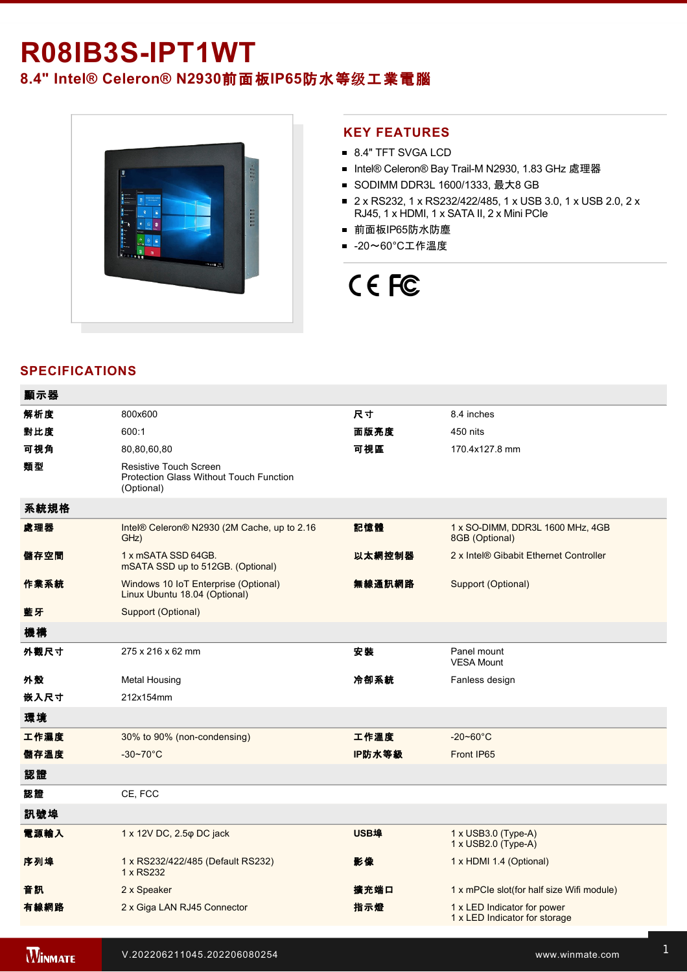# **R08IB3SIPT1WT 8.4" Intel® Celeron® N2930**前面板**IP65**防水等级工業電腦



#### **KEY FEATURES**

- 8.4" TFT SVGA LCD
- Intel® Celeron® Bay Trail-M N2930, 1.83 GHz 處理器
- SODIMM DDR3L 1600/1333, 最大8 GB
- 2 x RS232, 1 x RS232/422/485, 1 x USB 3.0, 1 x USB 2.0, 2 x RJ45, 1 x HDMI, 1 x SATA II, 2 x Mini PCIe
- 前面板IP65防水防塵
- -20~60°C工作溫度

# CE FC

# **SPECIFICATIONS**

| 顯示器  |                                                                                        |        |                                                              |
|------|----------------------------------------------------------------------------------------|--------|--------------------------------------------------------------|
| 解析度  | 800x600                                                                                | 尺寸     | 8.4 inches                                                   |
| 對比度  | 600:1                                                                                  | 面版亮度   | 450 nits                                                     |
| 可視角  | 80,80,60,80                                                                            | 可視區    | 170.4x127.8 mm                                               |
| 類型   | <b>Resistive Touch Screen</b><br>Protection Glass Without Touch Function<br>(Optional) |        |                                                              |
| 系統規格 |                                                                                        |        |                                                              |
| 處理器  | Intel® Celeron® N2930 (2M Cache, up to 2.16<br>GHz)                                    | 記憶體    | 1 x SO-DIMM, DDR3L 1600 MHz, 4GB<br>8GB (Optional)           |
| 儲存空間 | 1 x mSATA SSD 64GB.<br>mSATA SSD up to 512GB. (Optional)                               | 以太網控制器 | 2 x Intel® Gibabit Ethernet Controller                       |
| 作業系統 | Windows 10 IoT Enterprise (Optional)<br>Linux Ubuntu 18.04 (Optional)                  | 無線通訊網路 | Support (Optional)                                           |
| 藍牙   | Support (Optional)                                                                     |        |                                                              |
| 機構   |                                                                                        |        |                                                              |
| 外觀尺寸 | 275 x 216 x 62 mm                                                                      | 安装     | Panel mount<br><b>VESA Mount</b>                             |
| 外殼   | <b>Metal Housing</b>                                                                   | 冷卻系統   | Fanless design                                               |
| 嵌入尺寸 | 212x154mm                                                                              |        |                                                              |
| 環境   |                                                                                        |        |                                                              |
| 工作濕度 | 30% to 90% (non-condensing)                                                            | 工作溫度   | $-20 - 60^{\circ}$ C                                         |
| 儲存溫度 | $-30 - 70^{\circ}C$                                                                    | IP防水等級 | Front IP65                                                   |
| 認證   |                                                                                        |        |                                                              |
| 認證   | CE, FCC                                                                                |        |                                                              |
| 訊號埠  |                                                                                        |        |                                                              |
| 電源輸入 | 1 x 12V DC, 2.5 $\varphi$ DC jack                                                      | USB埠   | 1 x USB3.0 (Type-A)<br>1 x USB2.0 (Type-A)                   |
| 序列埠  | 1 x RS232/422/485 (Default RS232)<br>1 x RS232                                         | 影像     | 1 x HDMI 1.4 (Optional)                                      |
| 音訊   | 2 x Speaker                                                                            | 擴充端口   | 1 x mPCle slot(for half size Wifi module)                    |
| 有線網路 | 2 x Giga LAN RJ45 Connector                                                            | 指示燈    | 1 x LED Indicator for power<br>1 x LED Indicator for storage |
|      |                                                                                        |        |                                                              |

**WINMATE**